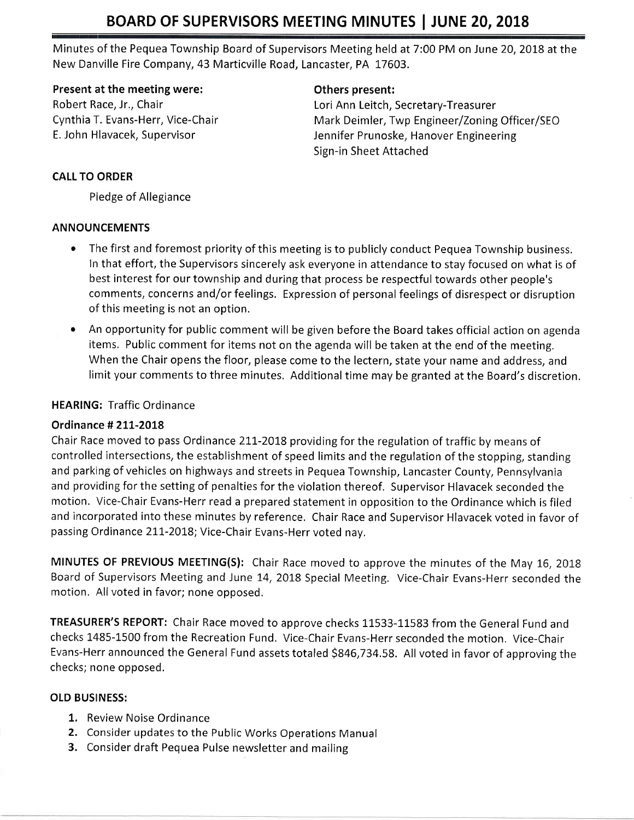Minutes of the Pequea Township Board of Supervisors Meeting held at 7:00 PM on June 20, 2018 at the New Danville Fire Company, 43 Marticville Road, Lancaster, PA 17603.

#### Present at the meeting were:

Robert Race, Jr., Chair Cynthia T. Evans-Herr, Vice-Chair E. John Hlavacek, Supervisor

#### Others present:

Lori Ann Leitch, Secretary-Treasurer Mark Deimler, Twp Engineer/Zoning Officer/SEO Jennifer Prunoske, Hanover Engineering Sign-in Sheet Attached

### CALL TO ORDER

PIedge of Allegiance

#### ANNOUNCEMENTS

- The first and foremost priority of this meeting is to publicly conduct Pequea Township business. In that effort, the Supervisors sincerely ask everyone in attendance to stay focused on what is of best interest for our township and during that process be respectful towards other people's comments, concerns and/or feelings. Expression of personal feelings of disrespect or disruption of this meeting is not an option.
- An opportunity for public comment will be given before the Board takes official action on agenda items, Public comment for items not on the agenda will be taken at the end of the meeting. When the Chair opens the floor, please come to the lectern, state your name and address, and limit your comments to three minutes. Additional time may be granted at the Board's discretion.

## HEARING: Traffic Ordinance

## Ordinance # 211-2018

Chair Race moved to pass Ordinance 211-2018 providing for the regulation of traffic by means of controlled intersections, the establishment of speed limits and the regulation of the stopping, standing and parking of vehicles on highways and streets in Pequea Township, Lancaster County, Pennsylvania and providing for the setting of penalties for the violation thereof. Supervisor Hlavacek seconded the motion. Vice-Chair Evans-Herr read a prepared statement in opposition to the Ordinance which is filed and incorporated into these minutes by reference. Chair Race and Supervisor Hlavacek voted in favor of passing Ordinance 211-2018; Vice-Chair Evans-Herr voted nay.

MINUTES OF PREVIOUS MEETING(S): Chair Race moved to approve the minutes of the May 16, 2018 Board of Supervisors Meeting and June 14, 2018 Special Meeting. Vice-Chair Evans-Herr seconded the motion. All voted in favor; none opposed.

TREASURER'S REPORT: Chair Race moved to approve checks 11533-11583 from the General Fund and checks 1485-1500 from the Recreation Fund, Vice-Chair Evans-Herr seconded the motion, Vice-Chair Evans-Herr announced the General Fund assets totaled 5846,734.58. All voted in favor of approving the checks; none opposed.

## OLD BUSINESS:

- 1. Review Noise Ordinance
- 2. Consider updates to the Public Works Operations Manual
- 3. Consider draft Pequea Pulse newsletter and mailing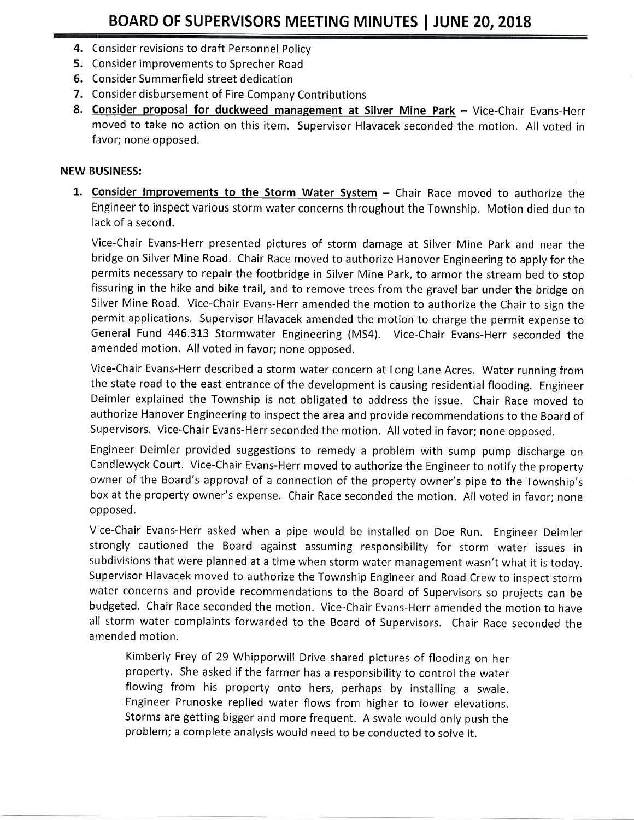- 4. Consider revisions to draft Personnel Policy
- 5. Consider improvements to Sprecher Road
- 6. Consider Summerfield street dedication
- 7. Consider disbursement of Fire Company Contributions
- 8. Consider proposal for duckweed management at Silver Mine Park Vice-Chair Evans-Herr moved to take no action on this item, Supervisor Hlavacek seconded the motion. All voted in favor; none opposed.

#### NEW BUSINESS:

1. Consider Improvements to the Storm Water System - Chair Race moved to authorize the Engineer to inspect various storm water concerns throughout the Township. Motion died due to lack of a second.

Vice-Chair Evans-Herr presented pictures of storm damage at Silver Mine Park and near the bridge on Silver Mine Road. Chair Race moved to authorize Hanover Engineering to apply for the permits necessary to repair the footbridge in Silver Mine Park, to armor the stream bed to stop fissuring in the hike and bike trail, and to remove trees from the gravel bar under the bridge on Silver Mine Road, Vice-Chair Evans-Herr amended the motion to authorize the Chair to sign the permit applications. Supervisor Hlavacek amended the motion to charge the permit expense to General Fund 446.313 Stormwater Engineering (MS4). Vice-Chair Evans-Herr seconded the amended motion. All voted in favor; none opposed.

Vice-Chair Evans-Herr described a storm water concern at Long Lane Acres. Water running from the state road to the east entrance of the development is causing residential flooding. Engineer Deimler explained the Township is not obligated to address the issue. Chair Race moved to authorize Hanover Engineering to inspect the area and provide recommendations to the Board of Supervisors. Vice-Chair Evans-Herr seconded the motion, All voted in favor; none opposed,

Engineer Deimler provided suggestions to remedy a problem with sump pump discharge on Candlewyck Court. Vice-Chair Evans-Herr moved to authorize the Engineer to notify the property owner of the Board's approval of a connection of the property owner's pipe to the Township's box at the property owner's expense. Chair Race seconded the motion. All voted in favor; none opposed.

Vice-Chair Evans-Herr asked when a pipe would be installed on Doe Run. Engineer Deimler strongly cautioned the Board against assuming responsibility for storm water issues in subdivisions that were planned at a time when storm water management wasn't what it is today. Supervisor Hlavacek moved to authorize the Township Engineer and Road Crew to inspect srorm water concerns and provide recommendations to the Board of Supervisors so projects can be budgeted, Chair Race seconded the motion. Vice-Chair Evans-Herr amended the motion to have all storm water complaints forwarded to the Board of Supervisors. Chair Race seconded the arnended motion.

Kimberly Frey of 29 whipporwill Drive shared pictures of flooding on her property. She asked if the farmer has a responsibility to control the water flowing from his property onto hers, perhaps by installing a swale. Engineer Prunoske replied water flows from higher to lower elevations. storms are getting bigger and more frequent. A swale would only push the problem; a complete analysis would need to be conducted to solve it.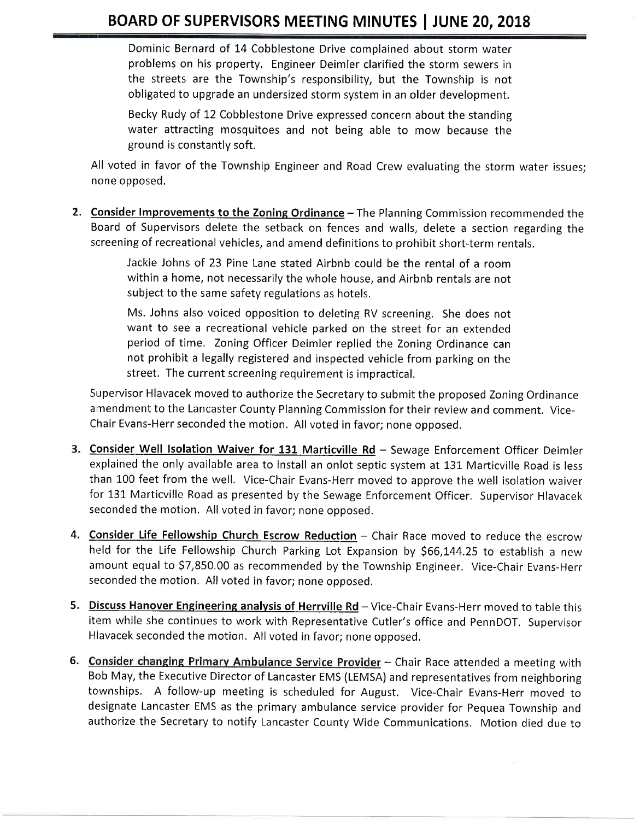Dominic Bernard of t4 Cobblestone Drive complained about storm water problems on his property, Engineer Deimler clarified the storm sewers in the streets are the Township's responsibility, but the Township is not obligated to upgrade an undersized storm system in an older development.

Becky Rudy of 12 Cobblestone Drive expressed concern about the standing water attracting mosquitoes and not being able to mow because the ground is constantly soft.

All voted in favor of the Township Engineer and Road Crew evaluating the storm water issues; none opposed,

**2. Consider Improvements to the Zoning Ordinance** – The Planning Commission recommended the Board of Supervisors delete the setback on fences and walls, delete a section regarding the screening of recreational vehicles, and amend definitions to prohibit short-term rentals.

> Jackie Johns of 23 Pine Lane stated Airbnb could be the rental of a room within a home, not necessarily the whole house, and Airbnb rentals are not subject to the same safety regulations as hotels.

> Ms. Johns also voiced opposition to deleting RV screening. She does not want to see a recreational vehicle parked on the street for an extended period of time. Toning Officer Deimler replied the Zoning Ordinance can not prohibit a legally registered and inspected vehicle from parking on the street. The current screening requirement is impractical.

Supervisor Hlavacek moved to authorize the Secretary to submit the proposed Zoning Ordinance amendment to the Lancaster County Planning Commission for their review and comment. Vice-Chair Evans-Herr seconded the motion. All voted in favor; none opposed.

- 3. Consider Well Isolation Waiver for 131 Marticville Rd Sewage Enforcement Officer Deimler explained the only available area to install an onlot septic system at 131 Marticville Road is less than L00 feet from the well, Vice-Chair Evans-Herr moved to approve the well isolation waiver for 131 Marticville Road as presented by the Sewage Enforcement Officer. Supervisor Hlavacek seconded the motion. All voted in favor; none opposed.
- 4. Consider Life Fellowship Church Escrow Reduction Chair Race moved to reduce the escrow held for the Life Fellowship Church Parking Lot Expansion by \$66,144.25 to establish a new amount equal to 57,850,00 as recommended by the Township Engineer. Vice-Chair Evans-Herr seconded the motion, All voted in favor; none opposed.
- 5. Discuss Hanover Engineering analysis of Herrville Rd Vice-Chair Evans-Herr moved to table this item while she continues to work with Representative Cutler's office and PennDOT, Supervisor Hlavacek seconded the motion. All voted in favor; none opposed,
- Bob May, the Executive Director of Lancaster EMS (LEMSA) and representatives from neighboring townships. A follow-up meeting is scheduled for August. Vice-Chair Evans-Herr moved to designate Lancaster EMS as the primary ambulance service provider for Pequea Township and authorize the Secretary to notify Lancaster County Wide Communications. Motion died due to 6. Consider changing Primary Ambulance Service Provider - Chair Race attended a meeting with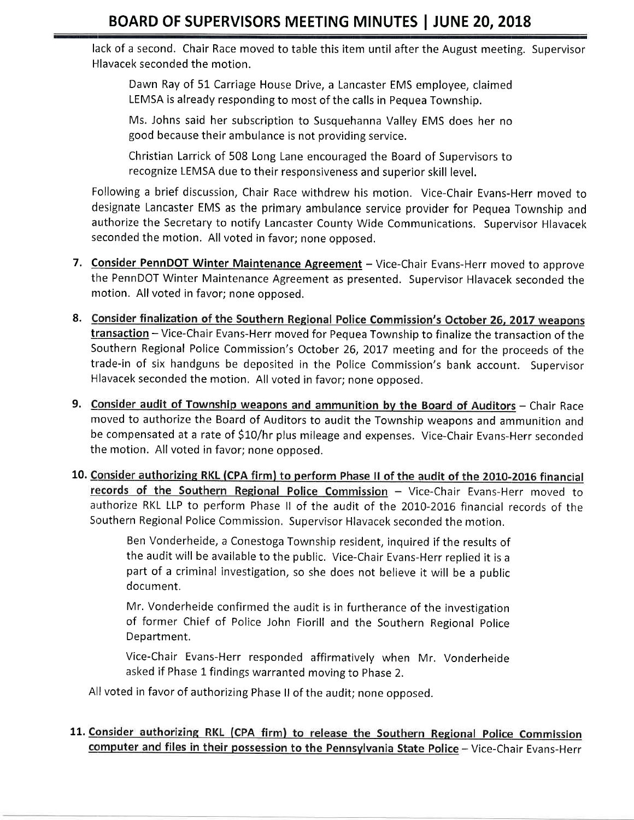lack of a second. Chair Race moved to table this item until after the August meeting. Supervisor Hlavacek seconded the motion.

Dawn Ray of 5L Carriage House Drive, a Lancaster EMS employee, claimed LEMSA is already responding to most of the calls in Pequea Township.

Ms. Johns said her subscription to Susquehanna Valley EMS does her no good because their ambulance is not providing service.

Christian Larrick of 508 Long Lane encouraged the Board of Supervisors to recognize LEMSA due to their responsiveness and superior skill level.

Following a brief discussion, Chair Race withdrew his motion, Vice-Chair Evans-Herr moved to designate Lancaster EMS as the primary ambulance service provider for Pequea Township and authorize the Secretary to notify Lancaster County Wide Communications. Supervisor Hlavacek seconded the motion. All voted in favor; none opposed.

- 7. Consider PennDOT Winter Maintenance Agreement Vice-Chair Evans-Herr moved to approve the PennDOT Winter Maintenance Agreement as presented. Supervisor Hlavacek seconded the motion. All voted in favor; none opposed.
- 8. Consider finalization of the Southern Regional Police Commission's October 26, 2017 weapons transaction - Vice-Chair Evans-Herr moved for Pequea Township to finalize the transaction of the Southern Regional Police Commission's October 26,2017 meeting and for the proceeds of the trade-in of six handguns be deposited in the Police Commission's bank account. Supervisor Hlavacek seconded the motion, All voted in favor; none opposed.
- 9. Consider audit of Township weapons and ammunition by the Board of Auditors Chair Race moved to authorize the Board of Auditors to audit the Township weapons and ammunition and be compensated at a rate of S10/hr plus mileage and expenses. Vice-Chair Evans-Herr seconded the motion. All voted in favor; none opposed.
- 10. Consider authorizing RKL (CPA firm) to perform Phase II of the audit of the 2010-2016 financial records of the Southern Regional Police Commission  $-$  Vice-Chair Evans-Herr moved to authorize RKL LLP to perform Phase ll of the audit of the 2010-2016 financial records of the Southern Regional Police Commission. Supervisor Hlavacek seconded the motion,

Ben Vonderheide, a Conestoga Township resident, inquired if the results of the audit will be available to the public. Vice-Chair Evans-Herr replied it is <sup>a</sup> part of a criminal investigation, so she does not believe it will be a public document,

Mr. Vonderheide confirmed the audit is in furtherance of the investigation of former Chief of Police John Fiorill and the Southern Regional Police Department.

Vice-Chair Evans-Herr responded affirmatively when Mr. Vonderheide asked if Phase 1 findings warranted moving to Phase 2.

All voted in favor of authorizing Phase ll of the audit; none opposed.

11. Consider authorizing RKL (CPA firm) to release the Southern Regional Police Commission computer and files in their possession to the Pennsylvania State Police - Vice-Chair Evans-Herr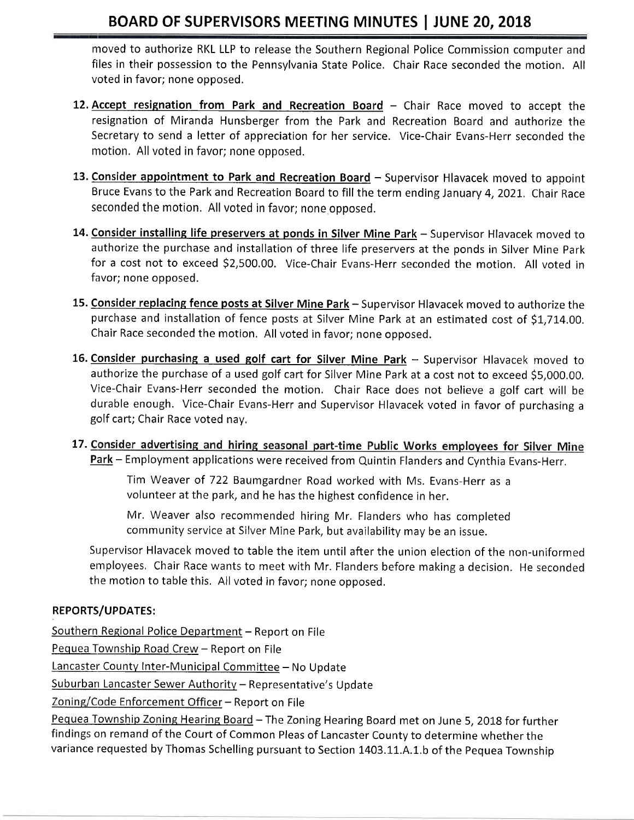moved to authorize RKL LLP to release the Southern Regional Police Commission computer and files in their possession to the Pennsylvania State Police. Chair Race seconded the motion. All voted in favor; none opposed.

- 12. Accept resignation from Park and Recreation Board Chair Race moved to accept the resignation of Miranda Hunsberger from the Park and Recreation Board and authorize the Secretary to send a letter of appreciation for her service. Vice-Chair Evans-Herr seconded the motion. All voted in favor; none opposed.
- 13. Consider appointment to Park and Recreation Board Supervisor Hlavacek moved to appoint Bruce Evans to the Park and Recreation Board to fill the term ending January 4,2021,. Chair Race seconded the motion. All voted in favor; none opposed.
- 14. Consider installing life preservers at ponds in Silver Mine Park Supervisor Hlavacek moved to authorize the purchase and installation of three life preservers at the ponds in Silver Mine Park for a cost not to exceed S2,500.00. Vice-Chair Evans-Herr seconded the motion. All voted in favor; none opposed.
- 15. Consider replacing fence posts at Silver Mine Park Supervisor Hlavacek moved to authorize the purchase and installation of fence posts at Silver Mine Park at an estimated cost of \$1,714.00. Chair Race seconded the motion. All voted in favor; none opposed.
- 16. Consider purchasing a used golf cart for Silver Mine Park Supervisor Hlavacek moved to authorize the purchase of a used golf cart for Silver Mine Park at a cost not to exceed \$S,O0O.OO. Vice-Chair Evans-Herr seconded the motion. Chair Race does not believe a golf cart will be durable enough. Vice-Chair Evans-Herr and Supervisor Hlavacek voted in favor of purchasing <sup>a</sup> golf cart; Chair Race voted nay.
- 17. Consider advertising and hiring seasonal part-time Public Works employees for Silver Mine Park - Employment applications were received from Quintin Flanders and Cynthia Evans-Herr.

Tim Weaver of 722 Baumgardner Road worked with Ms. Evans-Herr as <sup>a</sup> volunteer at the park, and he has the highest confidence in her.

Mr. Weaver also recommended hiring Mr. Flanders who has completed community service at Silver Mine Park, but availability may be an issue.

Supervisor Hlavacek moved to table the item until after the union election of the non-uniformed employees. Chair Race wants to meet with Mr. Flanders before making a decision. He seconded the motion to table this. All voted in favor; none opposed.

#### REPORTS/UPDATES:

Southern Regional Police Department - Report on File

Pequea Township Road Crew - Report on File

Lancaster County Inter-Municipal Committee - No Update

Suburban Lancaster Sewer Authority - Representative's Update

Zoning/Code Enforcement Officer - Report on File

Pequea Township Zoning Hearing Board - The Zoning Hearing Board met on June 5, 2018 for further findings on remand of the Court of Common Pleas of Lancaster County to determine whether the variance requested by Thomas Schelling pursuant to Section 1403.11.A.1.b of the Pequea Township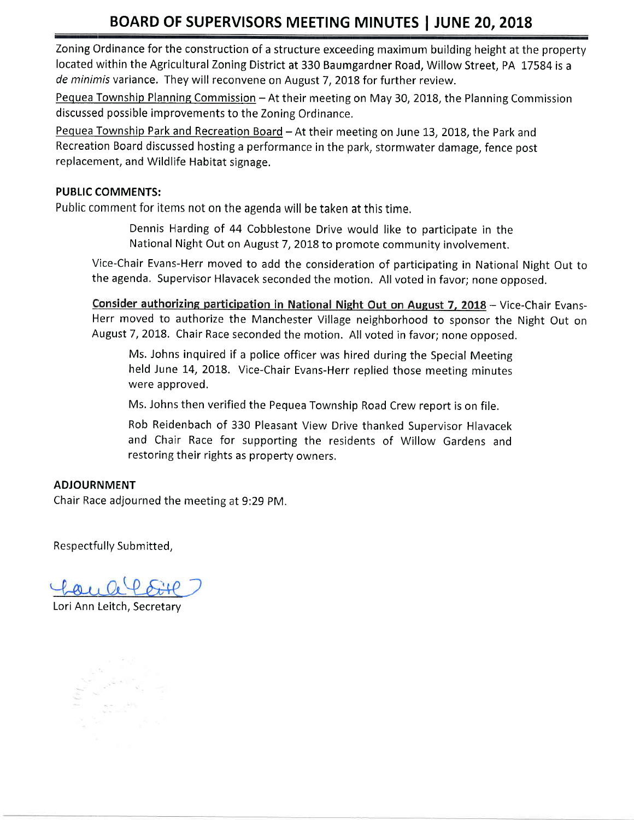Zoning Ordinance for the construction of a structure exceeding maximum building height at the property located within the Agricultural Zoning District at 330 Baumgardner Road, Willow Street, PA 17584 is a de minimis variance. They will reconvene on August 7, 2018 for further review.

Pequea Township Planning Commission - At their meeting on May 30, 2018, the Planning Commission discussed possible improvements to the Zoning Ordinance,

Pequea Township Park and Recreation Board - At their meeting on June 13, 2018, the Park and Recreation Board discussed hosting a performance in the park, stormwater damage, fence post replacement, and Wildlife Habitat signage.

#### PUBLIC COMMENTS:

Public comment for items not on the agenda will be taken at this time,

Dennis Harding of 44 Cobblestone Drive would like to participate in the National Night Out on August 7, 2018 to promote community involvement.

Vice-Chair Evans-Herr moved to add the consideration of participating in National Night Out to the agenda. Supervisor Hlavacek seconded the motion. All voted in favor; none opposed.

Consider authorizing participation in National Night Out on August 7, 2018 - Vice-Chair Evans-Herr moved to authorize the Manchester Village neighborhood to sponsor the Night Out on August 7, 2018. Chair Race seconded the motion. All voted in favor; none opposed.

Ms. Johns inquired if a police officer was hired during the Special Meeting held June 14, 2018. Vice-Chair Evans-Herr replied those meeting minutes were approved,

Ms. Johns then verified the Pequea Township Road Crew report is on file.

Rob Reidenbach of 330 Pleasant View Drive thanked Supervisor Hlavacek and Chair Race for supporting the residents of Willow Gardens and restoring their rights as property owners,

#### ADJOURNMENT

Chair Race adjourned the meeting at 9:29 PM.

Respectfully Submitted,

Lori Ann Leitch, Secretary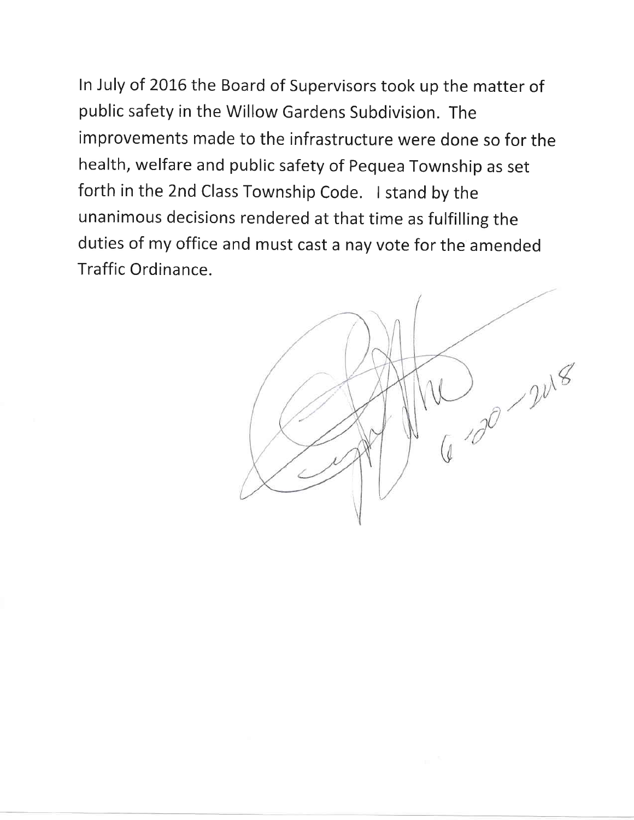ln July of 2016 the Board of supervisors took up the matter of public safety in the Willow Gardens Subdivision. The improvements made to the infrastructure were done so for the health, welfare and public safety of Pequea Township as set forth in the 2nd Class Township Code. I stand by the unanimous decisions rendered at that time as fulfilling the duties of my office and must cast a nay vote for the amended Traffic Ordinance.